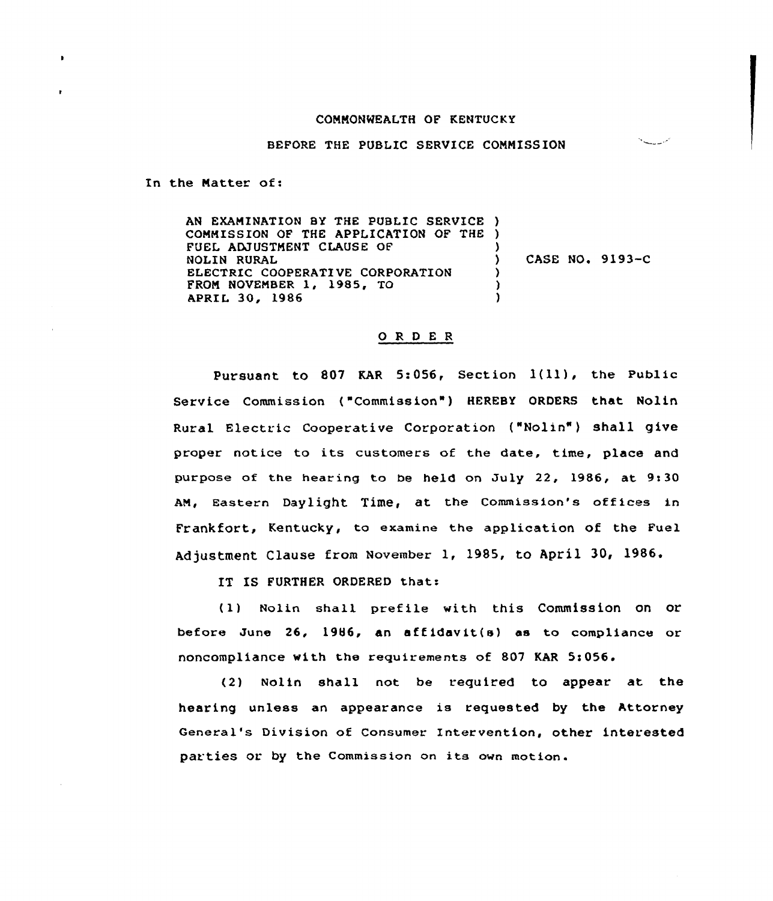## COMMONWEALTH OF KENTUCKY

BEFORE THE PUBLIC SERVICE CONNISSION

In the Natter of:

AN EXANINATION BY THE PUBLIC SERVICE ) COMMISSION OF THE APPLICATION OF THE ) FUEL ADJUSTMENT CLAUSE OF NOLIN RURAL ELECTRIC COOPERATIVE CORPORATION FROM NOVEMBER 1, 1985, TO APRIL 30, 1986 )  $)$  CASE NO. 9193-C ) ) )

## ORDER

Pursuant to <sup>801</sup> KAR 5:056, Section 1(ll), the Public Service Commission ("Commission" ) HEREBY ORDERS that Nolin Rural Electric Cooperative Corporation ("Nolin" } shall give proper notice to its customers of the date, time, place and purpose of the hearing to be held on July 22, 1986, at  $9:30$ AM, Eastern Daylight Time, at the Commission's offices in Frankfort, Kentucky, to examine the application of the Fuel Adjustment Clause from November 1, 1985, to April 30, 1986.

IT IS FURTHER ORDERED that:

(1) Nolin shall prefile with this Commission on or before June 26, 1986, an affidavit(s) as to compliance or noncompliance with the requirements of 807 KAR 5:056.

(2) Nolin shall not be required to appear at the hearing unless an appearance is requested by the Attorney General's Division of Consumer Intervention, other interested parties or. by the Commission on its own motion.